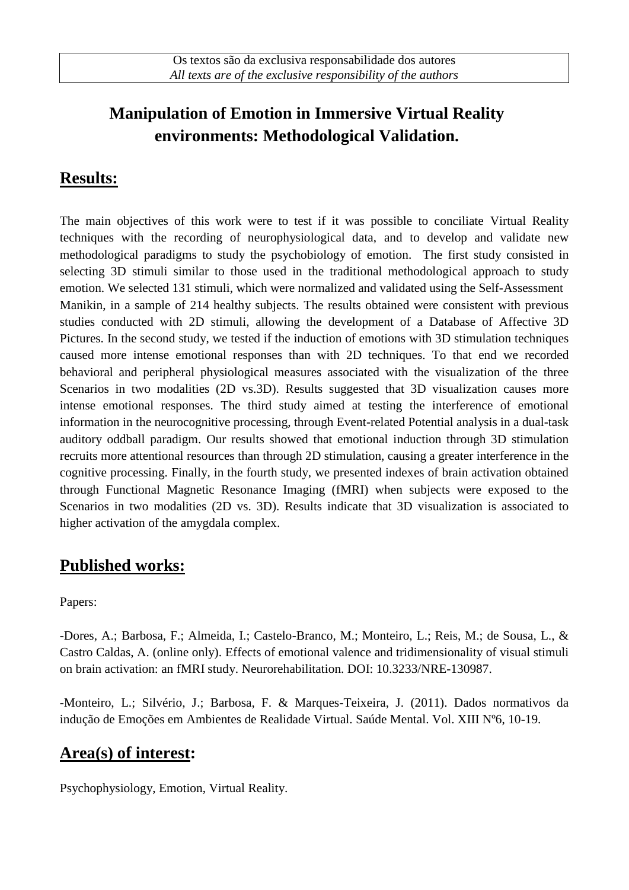# **Manipulation of Emotion in Immersive Virtual Reality environments: Methodological Validation.**

### **Results:**

The main objectives of this work were to test if it was possible to conciliate Virtual Reality techniques with the recording of neurophysiological data, and to develop and validate new methodological paradigms to study the psychobiology of emotion. The first study consisted in selecting 3D stimuli similar to those used in the traditional methodological approach to study emotion. We selected 131 stimuli, which were normalized and validated using the Self-Assessment Manikin, in a sample of 214 healthy subjects. The results obtained were consistent with previous studies conducted with 2D stimuli, allowing the development of a Database of Affective 3D Pictures. In the second study, we tested if the induction of emotions with 3D stimulation techniques caused more intense emotional responses than with 2D techniques. To that end we recorded behavioral and peripheral physiological measures associated with the visualization of the three Scenarios in two modalities (2D vs.3D). Results suggested that 3D visualization causes more intense emotional responses. The third study aimed at testing the interference of emotional information in the neurocognitive processing, through Event-related Potential analysis in a dual-task auditory oddball paradigm. Our results showed that emotional induction through 3D stimulation recruits more attentional resources than through 2D stimulation, causing a greater interference in the cognitive processing. Finally, in the fourth study, we presented indexes of brain activation obtained through Functional Magnetic Resonance Imaging (fMRI) when subjects were exposed to the Scenarios in two modalities (2D vs. 3D). Results indicate that 3D visualization is associated to higher activation of the amygdala complex.

#### **Published works:**

Papers:

-Dores, A.; Barbosa, F.; Almeida, I.; Castelo-Branco, M.; Monteiro, L.; Reis, M.; de Sousa, L., & Castro Caldas, A. (online only). Effects of emotional valence and tridimensionality of visual stimuli on brain activation: an fMRI study. Neurorehabilitation. DOI: 10.3233/NRE-130987.

-Monteiro, L.; Silvério, J.; Barbosa, F. & Marques-Teixeira, J. (2011). Dados normativos da indução de Emoções em Ambientes de Realidade Virtual. Saúde Mental. Vol. XIII Nº6, 10-19.

## **Area(s) of interest:**

Psychophysiology, Emotion, Virtual Reality.